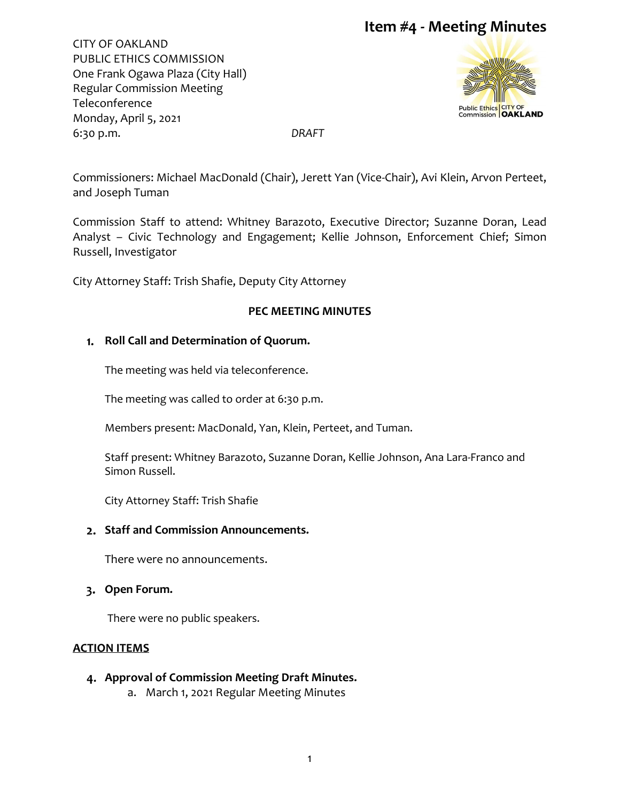CITY OF OAKLAND PUBLIC ETHICS COMMISSION One Frank Ogawa Plaza (City Hall) Regular Commission Meeting Teleconference Monday, April 5, 2021 6:30 p.m. *DRAFT*



Commissioners: Michael MacDonald (Chair), Jerett Yan (Vice-Chair), Avi Klein, Arvon Perteet, and Joseph Tuman

Commission Staff to attend: Whitney Barazoto, Executive Director; Suzanne Doran, Lead Analyst – Civic Technology and Engagement; Kellie Johnson, Enforcement Chief; Simon Russell, Investigator

City Attorney Staff: Trish Shafie, Deputy City Attorney

### **PEC MEETING MINUTES**

### **Roll Call and Determination of Quorum.**

The meeting was held via teleconference.

The meeting was called to order at 6:30 p.m.

Members present: MacDonald, Yan, Klein, Perteet, and Tuman.

Staff present: Whitney Barazoto, Suzanne Doran, Kellie Johnson, Ana Lara-Franco and Simon Russell.

City Attorney Staff: Trish Shafie

#### **Staff and Commission Announcements.**

There were no announcements.

#### **Open Forum.**

There were no public speakers.

### **ACTION ITEMS**

- **Approval of Commission Meeting Draft Minutes.** 
	- a. March 1, 2021 Regular Meeting Minutes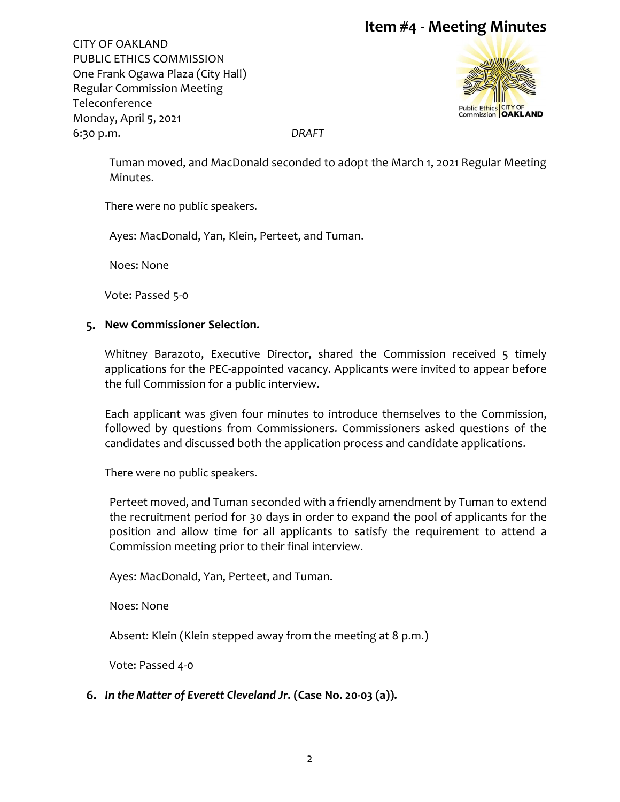CITY OF OAKLAND PUBLIC ETHICS COMMISSION One Frank Ogawa Plaza (City Hall) Regular Commission Meeting Teleconference Monday, April 5, 2021 6:30 p.m. *DRAFT*



Tuman moved, and MacDonald seconded to adopt the March 1, 2021 Regular Meeting Minutes.

There were no public speakers.

Ayes: MacDonald, Yan, Klein, Perteet, and Tuman.

Noes: None

Vote: Passed 5-0

### **New Commissioner Selection.**

Whitney Barazoto, Executive Director, shared the Commission received 5 timely applications for the PEC-appointed vacancy. Applicants were invited to appear before the full Commission for a public interview.

Each applicant was given four minutes to introduce themselves to the Commission, followed by questions from Commissioners. Commissioners asked questions of the candidates and discussed both the application process and candidate applications.

There were no public speakers.

Perteet moved, and Tuman seconded with a friendly amendment by Tuman to extend the recruitment period for 30 days in order to expand the pool of applicants for the position and allow time for all applicants to satisfy the requirement to attend a Commission meeting prior to their final interview.

Ayes: MacDonald, Yan, Perteet, and Tuman.

Noes: None

Absent: Klein (Klein stepped away from the meeting at 8 p.m.)

Vote: Passed 4-0

### *In the Matter of Everett Cleveland Jr.* **(Case No. 20-03 (a)).**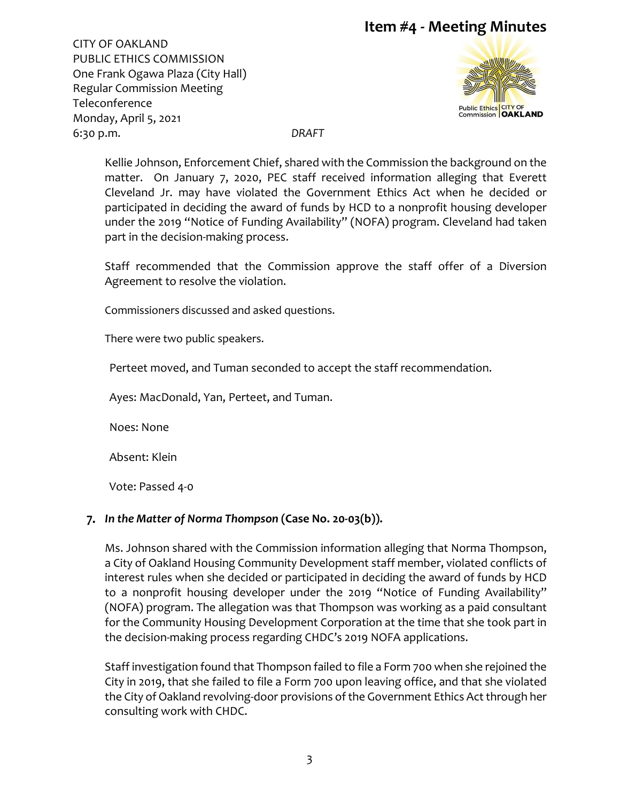CITY OF OAKLAND PUBLIC ETHICS COMMISSION One Frank Ogawa Plaza (City Hall) Regular Commission Meeting Teleconference Monday, April 5, 2021 6:30 p.m. *DRAFT*



Kellie Johnson, Enforcement Chief, shared with the Commission the background on the matter. On January 7, 2020, PEC staff received information alleging that Everett Cleveland Jr. may have violated the Government Ethics Act when he decided or participated in deciding the award of funds by HCD to a nonprofit housing developer under the 2019 "Notice of Funding Availability" (NOFA) program. Cleveland had taken part in the decision-making process.

Staff recommended that the Commission approve the staff offer of a Diversion Agreement to resolve the violation.

Commissioners discussed and asked questions.

There were two public speakers.

Perteet moved, and Tuman seconded to accept the staff recommendation.

Ayes: MacDonald, Yan, Perteet, and Tuman.

Noes: None

Absent: Klein

Vote: Passed 4-0

### *In the Matter of Norma Thompson* **(Case No. 20-03(b)).**

Ms. Johnson shared with the Commission information alleging that Norma Thompson, a City of Oakland Housing Community Development staff member, violated conflicts of interest rules when she decided or participated in deciding the award of funds by HCD to a nonprofit housing developer under the 2019 "Notice of Funding Availability" (NOFA) program. The allegation was that Thompson was working as a paid consultant for the Community Housing Development Corporation at the time that she took part in the decision-making process regarding CHDC's 2019 NOFA applications.

Staff investigation found that Thompson failed to file a Form 700 when she rejoined the City in 2019, that she failed to file a Form 700 upon leaving office, and that she violated the City of Oakland revolving-door provisions of the Government Ethics Act through her consulting work with CHDC.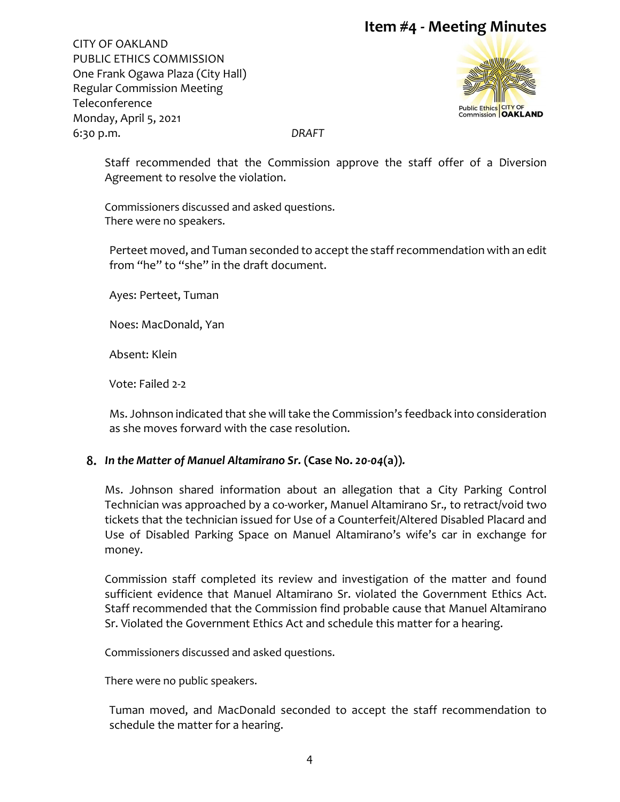CITY OF OAKLAND PUBLIC ETHICS COMMISSION One Frank Ogawa Plaza (City Hall) Regular Commission Meeting Teleconference Monday, April 5, 2021 6:30 p.m. *DRAFT*



Staff recommended that the Commission approve the staff offer of a Diversion Agreement to resolve the violation.

Commissioners discussed and asked questions. There were no speakers.

Perteet moved, and Tuman seconded to accept the staff recommendation with an edit from "he" to "she" in the draft document.

Ayes: Perteet, Tuman

Noes: MacDonald, Yan

Absent: Klein

Vote: Failed 2-2

Ms. Johnson indicated that she will take the Commission's feedback into consideration as she moves forward with the case resolution.

### *In the Matter of Manuel Altamirano Sr.* **(Case No.** *20-04***(a))***.*

Ms. Johnson shared information about an allegation that a City Parking Control Technician was approached by a co-worker, Manuel Altamirano Sr.*,* to retract/void two tickets that the technician issued for Use of a Counterfeit/Altered Disabled Placard and Use of Disabled Parking Space on Manuel Altamirano's wife's car in exchange for money.

Commission staff completed its review and investigation of the matter and found sufficient evidence that Manuel Altamirano Sr. violated the Government Ethics Act. Staff recommended that the Commission find probable cause that Manuel Altamirano Sr. Violated the Government Ethics Act and schedule this matter for a hearing.

Commissioners discussed and asked questions.

There were no public speakers.

Tuman moved, and MacDonald seconded to accept the staff recommendation to schedule the matter for a hearing.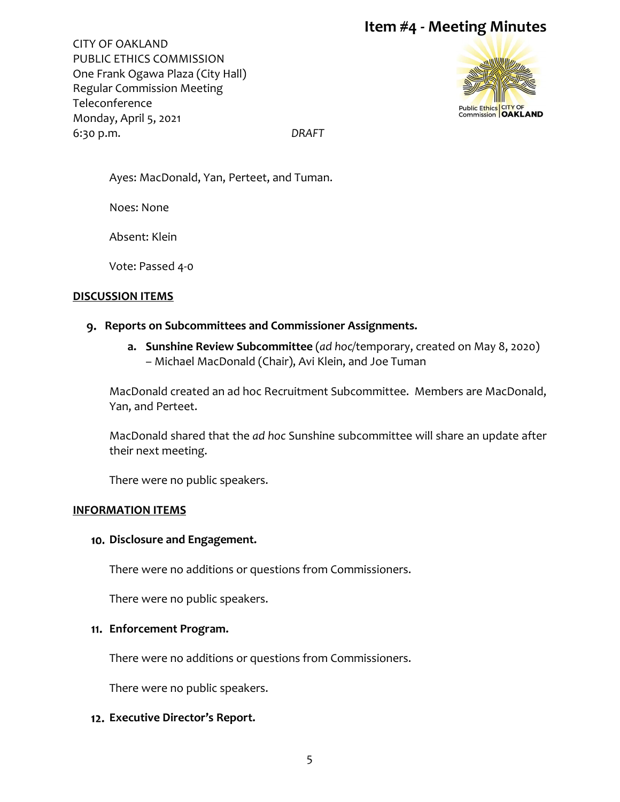CITY OF OAKLAND PUBLIC ETHICS COMMISSION One Frank Ogawa Plaza (City Hall) Regular Commission Meeting Teleconference Monday, April 5, 2021 6:30 p.m. *DRAFT*



Ayes: MacDonald, Yan, Perteet, and Tuman.

Noes: None

Absent: Klein

Vote: Passed 4-0

### **DISCUSSION ITEMS**

### **Reports on Subcommittees and Commissioner Assignments.**

**a. Sunshine Review Subcommittee** (*ad hoc/*temporary, created on May 8, 2020) – Michael MacDonald (Chair), Avi Klein, and Joe Tuman

MacDonald created an ad hoc Recruitment Subcommittee. Members are MacDonald, Yan, and Perteet.

MacDonald shared that the *ad hoc* Sunshine subcommittee will share an update after their next meeting.

There were no public speakers.

### **INFORMATION ITEMS**

### 10. Disclosure and Engagement.

There were no additions or questions from Commissioners.

There were no public speakers.

### **Enforcement Program.**

There were no additions or questions from Commissioners.

There were no public speakers.

### **Executive Director's Report.**